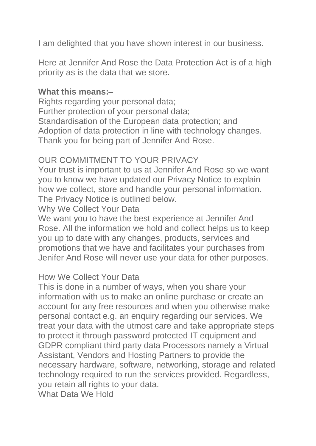I am delighted that you have shown interest in our business.

Here at Jennifer And Rose the Data Protection Act is of a high priority as is the data that we store.

### **What this means:–**

Rights regarding your personal data; Further protection of your personal data; Standardisation of the European data protection; and Adoption of data protection in line with technology changes. Thank you for being part of Jennifer And Rose.

# OUR COMMITMENT TO YOUR PRIVACY

Your trust is important to us at Jennifer And Rose so we want you to know we have updated our Privacy Notice to explain how we collect, store and handle your personal information. The Privacy Notice is outlined below.

Why We Collect Your Data

We want you to have the best experience at Jennifer And Rose. All the information we hold and collect helps us to keep you up to date with any changes, products, services and promotions that we have and facilitates your purchases from Jenifer And Rose will never use your data for other purposes.

### How We Collect Your Data

This is done in a number of ways, when you share your information with us to make an online purchase or create an account for any free resources and when you otherwise make personal contact e.g. an enquiry regarding our services. We treat your data with the utmost care and take appropriate steps to protect it through password protected IT equipment and GDPR compliant third party data Processors namely a Virtual Assistant, Vendors and Hosting Partners to provide the necessary hardware, software, networking, storage and related technology required to run the services provided. Regardless, you retain all rights to your data.

What Data We Hold